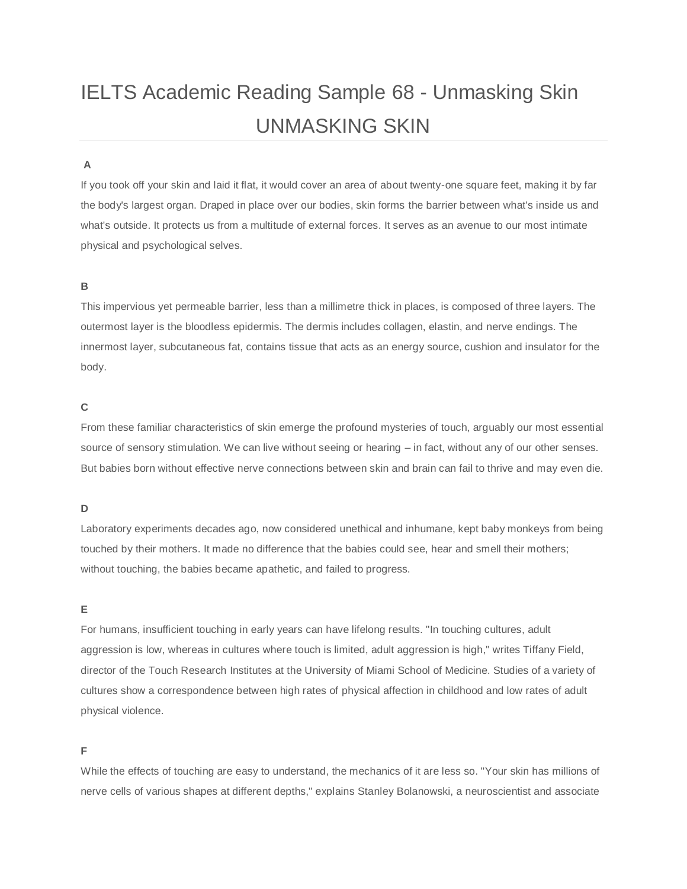# IELTS Academic Reading Sample 68 - Unmasking Skin UNMASKING SKIN

# **A**

If you took off your skin and laid it flat, it would cover an area of about twenty-one square feet, making it by far the body's largest organ. Draped in place over our bodies, skin forms the barrier between what's inside us and what's outside. It protects us from a multitude of external forces. It serves as an avenue to our most intimate physical and psychological selves.

# **B**

This impervious yet permeable barrier, less than a millimetre thick in places, is composed of three layers. The outermost layer is the bloodless epidermis. The dermis includes collagen, elastin, and nerve endings. The innermost layer, subcutaneous fat, contains tissue that acts as an energy source, cushion and insulator for the body.

# **C**

From these familiar characteristics of skin emerge the profound mysteries of touch, arguably our most essential source of sensory stimulation. We can live without seeing or hearing – in fact, without any of our other senses. But babies born without effective nerve connections between skin and brain can fail to thrive and may even die.

## **D**

Laboratory experiments decades ago, now considered unethical and inhumane, kept baby monkeys from being touched by their mothers. It made no difference that the babies could see, hear and smell their mothers; without touching, the babies became apathetic, and failed to progress.

## **E**

For humans, insufficient touching in early years can have lifelong results. "In touching cultures, adult aggression is low, whereas in cultures where touch is limited, adult aggression is high," writes Tiffany Field, director of the Touch Research Institutes at the University of Miami School of Medicine. Studies of a variety of cultures show a correspondence between high rates of physical affection in childhood and low rates of adult physical violence.

## **F**

While the effects of touching are easy to understand, the mechanics of it are less so. "Your skin has millions of nerve cells of various shapes at different depths," explains Stanley Bolanowski, a neuroscientist and associate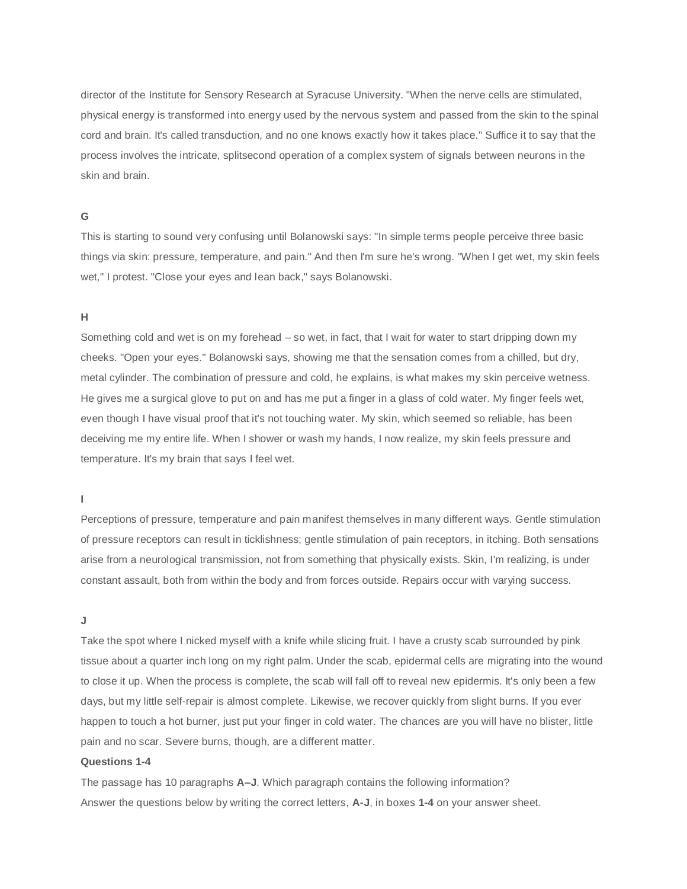director of the Institute for Sensory Research at Syracuse University. "When the nerve cells are stimulated, physical energy is transformed into energy used by the nervous system and passed from the skin to the spinal cord and brain. It's called transduction, and no one knows exactly how it takes place." Suffice it to say that the process involves the intricate, splitsecond operation of a complex system of signals between neurons in the skin and brain.

### **G**

This is starting to sound very confusing until Bolanowski says: "In simple terms people perceive three basic things via skin: pressure, temperature, and pain." And then I'm sure he's wrong. "When I get wet, my skin feels wet," I protest. "Close your eyes and lean back," says Bolanowski.

#### **H**

Something cold and wet is on my forehead – so wet, in fact, that I wait for water to start dripping down my cheeks. "Open your eyes." Bolanowski says, showing me that the sensation comes from a chilled, but dry, metal cylinder. The combination of pressure and cold, he explains, is what makes my skin perceive wetness. He gives me a surgical glove to put on and has me put a finger in a glass of cold water. My finger feels wet, even though I have visual proof that it's not touching water. My skin, which seemed so reliable, has been deceiving me my entire life. When I shower or wash my hands, I now realize, my skin feels pressure and temperature. It's my brain that says I feel wet.

## **I**

Perceptions of pressure, temperature and pain manifest themselves in many different ways. Gentle stimulation of pressure receptors can result in ticklishness; gentle stimulation of pain receptors, in itching. Both sensations arise from a neurological transmission, not from something that physically exists. Skin, I'm realizing, is under constant assault, both from within the body and from forces outside. Repairs occur with varying success.

#### **J**

Take the spot where I nicked myself with a knife while slicing fruit. I have a crusty scab surrounded by pink tissue about a quarter inch long on my right palm. Under the scab, epidermal cells are migrating into the wound to close it up. When the process is complete, the scab will fall off to reveal new epidermis. It's only been a few days, but my little self-repair is almost complete. Likewise, we recover quickly from slight burns. If you ever happen to touch a hot burner, just put your finger in cold water. The chances are you will have no blister, little pain and no scar. Severe burns, though, are a different matter.

## **Questions 1-4**

The passage has 10 paragraphs **A–J**. Which paragraph contains the following information? Answer the questions below by writing the correct letters, **A-J**, in boxes **1-4** on your answer sheet.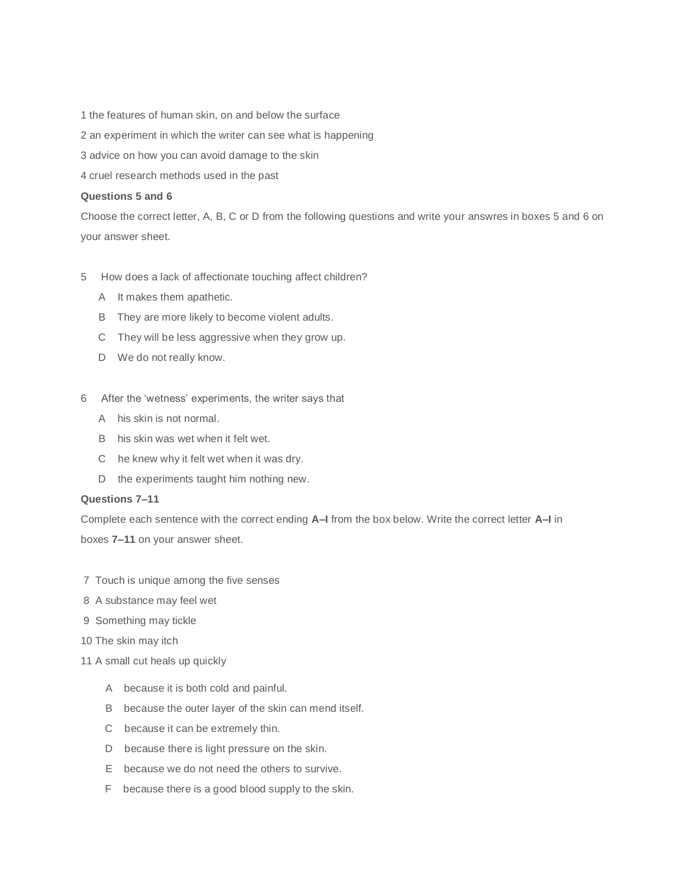1 the features of human skin, on and below the surface 2 an experiment in which the writer can see what is happening 3 advice on how you can avoid damage to the skin 4 cruel research methods used in the past **Questions 5 and 6**

Choose the correct letter, A, B, C or D from the following questions and write your answres in boxes 5 and 6 on your answer sheet.

# 5 How does a lack of affectionate touching affect children?

- A It makes them apathetic.
- B They are more likely to become violent adults.
- C They will be less aggressive when they grow up.
- D We do not really know.
- 6 After the 'wetness' experiments, the writer says that
	- A his skin is not normal.
	- B his skin was wet when it felt wet.
	- C he knew why it felt wet when it was dry.
	- D the experiments taught him nothing new.

# **Questions 7–11**

Complete each sentence with the correct ending **A–I** from the box below. Write the correct letter **A–I** in boxes **7–11** on your answer sheet.

- 7 Touch is unique among the five senses
- 8 A substance may feel wet
- 9 Something may tickle
- 10 The skin may itch
- 11 A small cut heals up quickly
	- A because it is both cold and painful.
	- B because the outer layer of the skin can mend itself.
	- C because it can be extremely thin.
	- D because there is light pressure on the skin.
	- E because we do not need the others to survive.
	- F because there is a good blood supply to the skin.